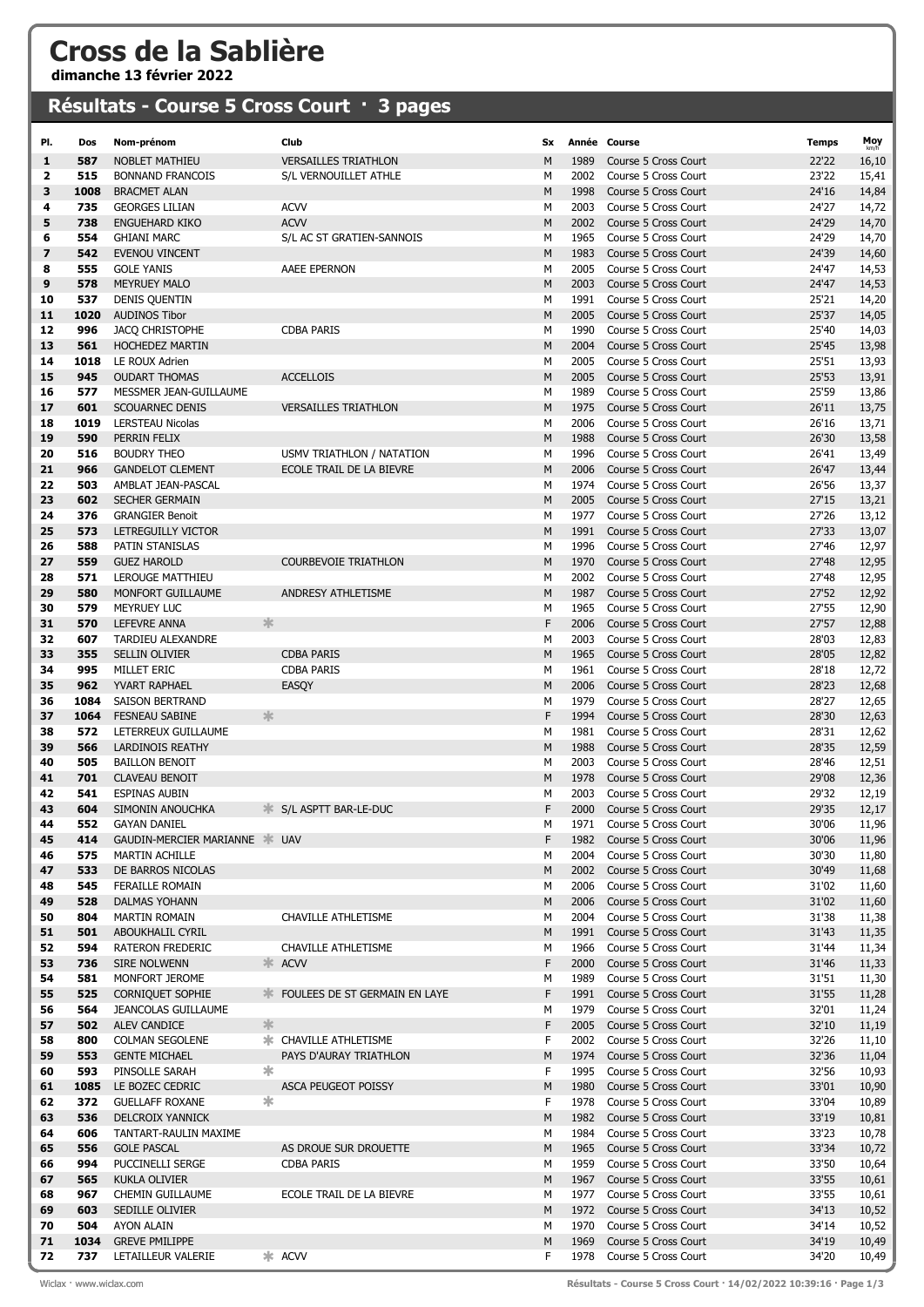## Cross de la Sablière

dimanche 13 février 2022

## Résultats - Course 5 Cross Court · 3 pages

| PI.      | Dos         | Nom-prénom                                 | Club                                   | <b>Sx</b> |              | Année Course                                 | <b>Temps</b>   | Moy            |
|----------|-------------|--------------------------------------------|----------------------------------------|-----------|--------------|----------------------------------------------|----------------|----------------|
| 1        | 587         | <b>NOBLET MATHIEU</b>                      | <b>VERSAILLES TRIATHLON</b>            | M         | 1989         | Course 5 Cross Court                         | 22'22          | 16,10          |
| 2        | 515         | <b>BONNAND FRANCOIS</b>                    | S/L VERNOUILLET ATHLE                  | м         | 2002         | Course 5 Cross Court                         | 23'22          | 15,41          |
| 3        | 1008        | <b>BRACMET ALAN</b>                        |                                        | M         | 1998         | Course 5 Cross Court                         | 24'16          | 14,84          |
| 4        | 735         | <b>GEORGES LILIAN</b>                      | <b>ACVV</b>                            | М         | 2003         | Course 5 Cross Court                         | 24'27          | 14,72          |
| 5        | 738         | <b>ENGUEHARD KIKO</b>                      | <b>ACVV</b>                            | M         | 2002         | Course 5 Cross Court                         | 24'29          | 14,70          |
| 6        | 554         | <b>GHIANI MARC</b>                         | S/L AC ST GRATIEN-SANNOIS              | м         | 1965         | Course 5 Cross Court                         | 24'29          | 14,70          |
| 7        | 542         | <b>EVENOU VINCENT</b>                      |                                        | M         | 1983         | Course 5 Cross Court                         | 24'39          | 14,60          |
| 8        | 555         | <b>GOLE YANIS</b>                          | AAEE EPERNON                           | м         | 2005         | Course 5 Cross Court                         | 24'47          | 14,53          |
| 9        | 578         | <b>MEYRUEY MALO</b>                        |                                        | M         | 2003         | Course 5 Cross Court                         | 24'47          | 14,53          |
| 10       | 537         | <b>DENIS QUENTIN</b>                       |                                        | М         | 1991         | Course 5 Cross Court                         | 25'21          | 14,20          |
| 11       | 1020        | <b>AUDINOS Tibor</b>                       |                                        | M         | 2005         | Course 5 Cross Court                         | 25'37          | 14,05          |
| 12       | 996         | <b>JACQ CHRISTOPHE</b>                     | <b>CDBA PARIS</b>                      | М         | 1990         | Course 5 Cross Court                         | 25'40          | 14,03          |
| 13       | 561<br>1018 | <b>HOCHEDEZ MARTIN</b>                     |                                        | M<br>М    | 2004<br>2005 | Course 5 Cross Court<br>Course 5 Cross Court | 25'45          | 13,98          |
| 14<br>15 | 945         | LE ROUX Adrien<br><b>OUDART THOMAS</b>     | <b>ACCELLOIS</b>                       | M         | 2005         | Course 5 Cross Court                         | 25'51<br>25'53 | 13,93<br>13,91 |
| 16       | 577         | MESSMER JEAN-GUILLAUME                     |                                        | М         | 1989         | Course 5 Cross Court                         | 25'59          | 13,86          |
| 17       | 601         | <b>SCOUARNEC DENIS</b>                     | <b>VERSAILLES TRIATHLON</b>            | M         | 1975         | Course 5 Cross Court                         | 26'11          | 13,75          |
| 18       | 1019        | <b>LERSTEAU Nicolas</b>                    |                                        | М         | 2006         | Course 5 Cross Court                         | 26'16          | 13,71          |
| 19       | 590         | PERRIN FELIX                               |                                        | M         | 1988         | Course 5 Cross Court                         | 26'30          | 13,58          |
| 20       | 516         | <b>BOUDRY THEO</b>                         | USMV TRIATHLON / NATATION              | M         | 1996         | Course 5 Cross Court                         | 26'41          | 13,49          |
| 21       | 966         | <b>GANDELOT CLEMENT</b>                    | ECOLE TRAIL DE LA BIEVRE               | M         | 2006         | Course 5 Cross Court                         | 26'47          | 13,44          |
| 22       | 503         | AMBLAT JEAN-PASCAL                         |                                        | м         | 1974         | Course 5 Cross Court                         | 26'56          | 13,37          |
| 23       | 602         | <b>SECHER GERMAIN</b>                      |                                        | M         | 2005         | Course 5 Cross Court                         | 27'15          | 13,21          |
| 24       | 376         | <b>GRANGIER Benoit</b>                     |                                        | М         | 1977         | Course 5 Cross Court                         | 27'26          | 13,12          |
| 25       | 573         | LETREGUILLY VICTOR                         |                                        | M         | 1991         | Course 5 Cross Court                         | 27'33          | 13,07          |
| 26       | 588         | PATIN STANISLAS                            |                                        | М         | 1996         | Course 5 Cross Court                         | 27'46          | 12,97          |
| 27       | 559         | <b>GUEZ HAROLD</b>                         | <b>COURBEVOIE TRIATHLON</b>            | M         | 1970         | Course 5 Cross Court                         | 27'48          | 12,95          |
| 28       | 571         | LEROUGE MATTHIEU                           |                                        | М         | 2002         | Course 5 Cross Court                         | 27'48          | 12,95          |
| 29       | 580         | MONFORT GUILLAUME                          | ANDRESY ATHLETISME                     | M         | 1987         | Course 5 Cross Court                         | 27'52          | 12,92          |
| 30       | 579         | <b>MEYRUEY LUC</b>                         |                                        | М         | 1965         | Course 5 Cross Court                         | 27'55          | 12,90          |
| 31       | 570         | LEFEVRE ANNA                               | 氺                                      | F         | 2006         | Course 5 Cross Court                         | 27'57          | 12,88          |
| 32<br>33 | 607<br>355  | TARDIEU ALEXANDRE<br><b>SELLIN OLIVIER</b> | <b>CDBA PARIS</b>                      | м<br>M    | 2003<br>1965 | Course 5 Cross Court<br>Course 5 Cross Court | 28'03<br>28'05 | 12,83          |
| 34       | 995         | MILLET ERIC                                | <b>CDBA PARIS</b>                      | М         | 1961         | Course 5 Cross Court                         | 28'18          | 12,82<br>12,72 |
| 35       | 962         | <b>YVART RAPHAEL</b>                       | EASQY                                  | M         | 2006         | Course 5 Cross Court                         | 28'23          | 12,68          |
| 36       | 1084        | SAISON BERTRAND                            |                                        | М         | 1979         | Course 5 Cross Court                         | 28'27          | 12,65          |
| 37       | 1064        | FESNEAU SABINE                             | 氺                                      | F         | 1994         | Course 5 Cross Court                         | 28'30          | 12,63          |
| 38       | 572         | LETERREUX GUILLAUME                        |                                        | м         | 1981         | Course 5 Cross Court                         | 28'31          | 12,62          |
| 39       | 566         | <b>LARDINOIS REATHY</b>                    |                                        | M         | 1988         | Course 5 Cross Court                         | 28'35          | 12,59          |
| 40       | 505         | <b>BAILLON BENOIT</b>                      |                                        | М         | 2003         | Course 5 Cross Court                         | 28'46          | 12,51          |
| 41       | 701         | <b>CLAVEAU BENOIT</b>                      |                                        | M         | 1978         | Course 5 Cross Court                         | 29'08          | 12,36          |
| 42       | 541         | <b>ESPINAS AUBIN</b>                       |                                        | м         | 2003         | Course 5 Cross Court                         | 29'32          | 12,19          |
| 43       | 604         | SIMONIN ANOUCHKA                           | S/L ASPTT BAR-LE-DUC                   | F         | 2000         | Course 5 Cross Court                         | 29'35          | 12,17          |
| 44       | 552         | <b>GAYAN DANIEL</b>                        |                                        | М         |              | 1971 Course 5 Cross Court                    | 30'06          | 11,96          |
| 45       | 414         | GAUDIN-MERCIER MARIANNE * UAV              |                                        | F         |              | 1982 Course 5 Cross Court                    | 30'06          | 11,96          |
| 46       | 575         | <b>MARTIN ACHILLE</b>                      |                                        | М         | 2004         | Course 5 Cross Court                         | 30'30          | 11,80          |
| 47       | 533<br>545  | DE BARROS NICOLAS                          |                                        | М         | 2002<br>2006 | Course 5 Cross Court<br>Course 5 Cross Court | 30'49          | 11,68          |
| 48<br>49 | 528         | FERAILLE ROMAIN<br>DALMAS YOHANN           |                                        | м<br>М    | 2006         | Course 5 Cross Court                         | 31'02<br>31'02 | 11,60<br>11,60 |
| 50       | 804         | MARTIN ROMAIN                              | CHAVILLE ATHLETISME                    | М         | 2004         | Course 5 Cross Court                         | 31'38          | 11,38          |
| 51       | 501         | ABOUKHALIL CYRIL                           |                                        | М         | 1991         | Course 5 Cross Court                         | 31'43          | 11,35          |
| 52       | 594         | RATERON FREDERIC                           | <b>CHAVILLE ATHLETISME</b>             | М         | 1966         | Course 5 Cross Court                         | 31'44          | 11,34          |
| 53       | 736         | SIRE NOLWENN                               | ≯⊧<br><b>ACVV</b>                      | F         | 2000         | Course 5 Cross Court                         | 31'46          | 11,33          |
| 54       | 581         | MONFORT JEROME                             |                                        | М         | 1989         | Course 5 Cross Court                         | 31'51          | 11,30          |
| 55       | 525         | <b>CORNIQUET SOPHIE</b>                    | <b>* FOULEES DE ST GERMAIN EN LAYE</b> | F         | 1991         | Course 5 Cross Court                         | 31'55          | 11,28          |
| 56       | 564         | <b>JEANCOLAS GUILLAUME</b>                 |                                        | м         | 1979         | Course 5 Cross Court                         | 32'01          | 11,24          |
| 57       | 502         | ALEV CANDICE                               | 氺                                      | F         | 2005         | Course 5 Cross Court                         | 32'10          | 11,19          |
| 58       | 800         | <b>COLMAN SEGOLENE</b>                     | * CHAVILLE ATHLETISME                  | F         | 2002         | Course 5 Cross Court                         | 32'26          | 11,10          |
| 59       | 553         | <b>GENTE MICHAEL</b>                       | PAYS D'AURAY TRIATHLON                 | М         | 1974         | Course 5 Cross Court                         | 32'36          | 11,04          |
| 60       | 593         | PINSOLLE SARAH                             | 氺                                      | F         | 1995         | Course 5 Cross Court                         | 32'56          | 10,93          |
| 61<br>62 | 1085<br>372 | LE BOZEC CEDRIC<br><b>GUELLAFF ROXANE</b>  | ASCA PEUGEOT POISSY<br>∗               | М<br>F    | 1980<br>1978 | Course 5 Cross Court<br>Course 5 Cross Court | 33'01<br>33'04 | 10,90          |
| 63       | 536         | DELCROIX YANNICK                           |                                        | М         | 1982         | Course 5 Cross Court                         | 33'19          | 10,89<br>10,81 |
| 64       | 606         | TANTART-RAULIN MAXIME                      |                                        | м         | 1984         | Course 5 Cross Court                         | 33'23          | 10,78          |
| 65       | 556         | <b>GOLE PASCAL</b>                         | AS DROUE SUR DROUETTE                  | М         | 1965         | Course 5 Cross Court                         | 33'34          | 10,72          |
| 66       | 994         | PUCCINELLI SERGE                           | <b>CDBA PARIS</b>                      | М         | 1959         | Course 5 Cross Court                         | 33'50          | 10,64          |
| 67       | 565         | KUKLA OLIVIER                              |                                        | М         | 1967         | Course 5 Cross Court                         | 33'55          | 10,61          |
| 68       | 967         | <b>CHEMIN GUILLAUME</b>                    | ECOLE TRAIL DE LA BIEVRE               | М         | 1977         | Course 5 Cross Court                         | 33'55          | 10,61          |
| 69       | 603         | SEDILLE OLIVIER                            |                                        | М         | 1972         | Course 5 Cross Court                         | 34'13          | 10,52          |
| 70       | 504         | AYON ALAIN                                 |                                        | М         | 1970         | Course 5 Cross Court                         | 34'14          | 10,52          |
| 71       | 1034        | <b>GREVE PMILIPPE</b>                      |                                        | М         | 1969         | Course 5 Cross Court                         | 34'19          | 10,49          |
| 72       | 737         | LETAILLEUR VALERIE                         | * ACVV                                 | F         | 1978         | Course 5 Cross Court                         | 34'20          | 10,49          |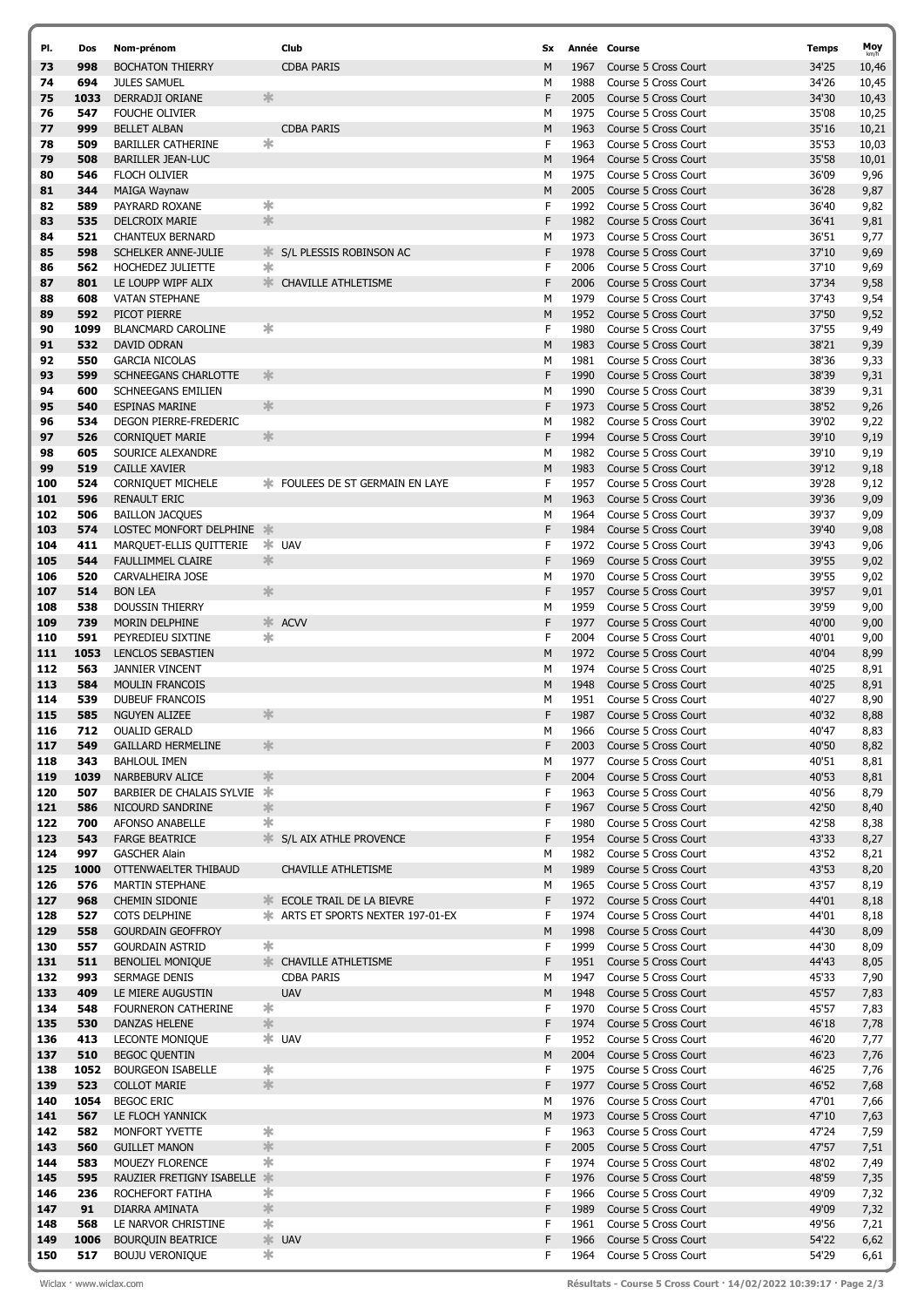| PI.        | Dos         | Nom-prénom                                           |               | Club                                     | Sx.    |              | Année Course                                 | <b>Temps</b>   | Moy          |
|------------|-------------|------------------------------------------------------|---------------|------------------------------------------|--------|--------------|----------------------------------------------|----------------|--------------|
| 73         | 998         | <b>BOCHATON THIERRY</b>                              |               | <b>CDBA PARIS</b>                        | м      | 1967         | Course 5 Cross Court                         | 34'25          | 10,46        |
| 74         | 694         | <b>JULES SAMUEL</b>                                  |               |                                          | м      | 1988         | Course 5 Cross Court                         | 34'26          | 10,45        |
| 75         | 1033        | DERRADJI ORIANE                                      | 氺             |                                          | F      | 2005         | Course 5 Cross Court                         | 34'30          | 10,43        |
| 76         | 547         | <b>FOUCHE OLIVIER</b>                                |               |                                          | м      | 1975         | Course 5 Cross Court                         | 35'08          | 10,25        |
| 77         | 999         | <b>BELLET ALBAN</b>                                  |               | <b>CDBA PARIS</b>                        | M      | 1963         | Course 5 Cross Court                         | 35'16          | 10,21        |
| 78         | 509         | <b>BARILLER CATHERINE</b>                            | *             |                                          | F      | 1963         | Course 5 Cross Court                         | 35'53          | 10,03        |
| 79         | 508         | <b>BARILLER JEAN-LUC</b>                             |               |                                          | M      | 1964         | Course 5 Cross Court                         | 35'58          | 10,01        |
| 80         | 546         | FLOCH OLIVIER                                        |               |                                          | М      | 1975         | Course 5 Cross Court                         | 36'09          | 9,96         |
| 81         | 344         | <b>MAIGA Waynaw</b>                                  |               |                                          | M      | 2005         | Course 5 Cross Court                         | 36'28          | 9,87         |
| 82         | 589         | PAYRARD ROXANE                                       | ∗             |                                          | F      | 1992         | Course 5 Cross Court                         | 36'40          | 9,82         |
| 83         | 535         | <b>DELCROIX MARIE</b>                                | $\frac{1}{2}$ |                                          | F      | 1982         | Course 5 Cross Court                         | 36'41          | 9,81         |
| 84         | 521         | <b>CHANTEUX BERNARD</b>                              |               |                                          | М      | 1973         | Course 5 Cross Court                         | 36'51          | 9,77         |
| 85         | 598         | SCHELKER ANNE-JULIE                                  |               | S/L PLESSIS ROBINSON AC                  | F      | 1978         | Course 5 Cross Court                         | 37'10          | 9,69         |
| 86         | 562         | HOCHEDEZ JULIETTE                                    | ∗             |                                          | F      | 2006         | Course 5 Cross Court                         | 37'10          | 9,69         |
| 87         | 801         | LE LOUPP WIPF ALIX                                   |               | * CHAVILLE ATHLETISME                    | F      | 2006         | Course 5 Cross Court                         | 37'34          | 9,58         |
| 88         | 608         | <b>VATAN STEPHANE</b>                                |               |                                          | м      | 1979         | Course 5 Cross Court                         | 37'43          | 9,54         |
| 89         | 592         | PICOT PIERRE                                         |               |                                          | M      | 1952         | Course 5 Cross Court                         | 37'50          | 9,52         |
| 90         | 1099        | <b>BLANCMARD CAROLINE</b>                            | *             |                                          | F      | 1980         | Course 5 Cross Court                         | 37'55          | 9,49         |
| 91<br>92   | 532<br>550  | DAVID ODRAN                                          |               |                                          | M<br>м | 1983<br>1981 | Course 5 Cross Court<br>Course 5 Cross Court | 38'21          | 9,39         |
| 93         | 599         | <b>GARCIA NICOLAS</b><br><b>SCHNEEGANS CHARLOTTE</b> | 氺             |                                          | F      | 1990         | Course 5 Cross Court                         | 38'36<br>38'39 | 9,33<br>9,31 |
| 94         | 600         | <b>SCHNEEGANS EMILIEN</b>                            |               |                                          | М      | 1990         | Course 5 Cross Court                         | 38'39          | 9,31         |
| 95         | 540         | <b>ESPINAS MARINE</b>                                | $\frac{1}{2}$ |                                          | F      | 1973         | Course 5 Cross Court                         | 38'52          | 9,26         |
| 96         | 534         | DEGON PIERRE-FREDERIC                                |               |                                          | м      | 1982         | Course 5 Cross Court                         | 39'02          | 9,22         |
| 97         | 526         | <b>CORNIQUET MARIE</b>                               | 氺             |                                          | F      | 1994         | Course 5 Cross Court                         | 39'10          | 9,19         |
| 98         | 605         | SOURICE ALEXANDRE                                    |               |                                          | м      | 1982         | Course 5 Cross Court                         | 39'10          | 9,19         |
| 99         | 519         | <b>CAILLE XAVIER</b>                                 |               |                                          | M      | 1983         | Course 5 Cross Court                         | 39'12          | 9,18         |
| 100        | 524         | <b>CORNIQUET MICHELE</b>                             |               | <b>* FOULEES DE ST GERMAIN EN LAYE</b>   | F      | 1957         | Course 5 Cross Court                         | 39'28          | 9,12         |
| 101        | 596         | <b>RENAULT ERIC</b>                                  |               |                                          | М      | 1963         | Course 5 Cross Court                         | 39'36          | 9,09         |
| 102        | 506         | <b>BAILLON JACQUES</b>                               |               |                                          | м      | 1964         | Course 5 Cross Court                         | 39'37          | 9,09         |
| 103        | 574         | LOSTEC MONFORT DELPHINE *                            |               |                                          | F      | 1984         | Course 5 Cross Court                         | 39'40          | 9,08         |
| 104        | 411         | MARQUET-ELLIS QUITTERIE                              |               | <b>≭</b> UAV                             | F      | 1972         | Course 5 Cross Court                         | 39'43          | 9,06         |
| 105        | 544         | <b>FAULLIMMEL CLAIRE</b>                             | 氺             |                                          | F      | 1969         | Course 5 Cross Court                         | 39'55          | 9,02         |
| 106        | 520         | CARVALHEIRA JOSE                                     |               |                                          | М      | 1970         | Course 5 Cross Court                         | 39'55          | 9,02         |
| 107        | 514         | <b>BON LEA</b>                                       | $\frac{1}{2}$ |                                          | F      | 1957         | Course 5 Cross Court                         | 39'57          | 9,01         |
| 108        | 538         | <b>DOUSSIN THIERRY</b>                               |               |                                          | м      | 1959         | Course 5 Cross Court                         | 39'59          | 9,00         |
| 109        | 739         | <b>MORIN DELPHINE</b>                                |               | * ACVV                                   | F      | 1977         | Course 5 Cross Court                         | 40'00          | 9,00         |
| 110        | 591         | PEYREDIEU SIXTINE                                    | ∗             |                                          | F      | 2004         | Course 5 Cross Court                         | 40'01          | 9,00         |
| 111        | 1053        | LENCLOS SEBASTIEN                                    |               |                                          | M      | 1972         | Course 5 Cross Court                         | 40'04          | 8,99         |
| 112        | 563         | <b>JANNIER VINCENT</b>                               |               |                                          | м      | 1974         | Course 5 Cross Court                         | 40'25          | 8,91         |
| 113        | 584         | <b>MOULIN FRANCOIS</b>                               |               |                                          | M      | 1948         | Course 5 Cross Court                         | 40'25          | 8,91         |
| 114        | 539         | <b>DUBEUF FRANCOIS</b>                               |               |                                          | м      | 1951         | Course 5 Cross Court                         | 40'27          | 8,90         |
| 115        | 585         | <b>NGUYEN ALIZEE</b>                                 | 氺             |                                          | F      | 1987         | Course 5 Cross Court                         | 40'32          | 8,88         |
| 116        | 712         | <b>OUALID GERALD</b>                                 |               |                                          | М      |              | 1966 Course 5 Cross Court                    | 40'47          | 8,83         |
| 117        | 549         | <b>GAILLARD HERMELINE</b>                            | ∗             |                                          | F      | 2003         | Course 5 Cross Court                         | 40'50          | 8,82         |
| 118<br>119 | 343<br>1039 | <b>BAHLOUL IMEN</b><br><b>NARBEBURV ALICE</b>        | 氺             |                                          | м<br>F | 1977<br>2004 | Course 5 Cross Court<br>Course 5 Cross Court | 40'51<br>40'53 | 8,81         |
| 120        | 507         | BARBIER DE CHALAIS SYLVIE *                          |               |                                          | F      | 1963         | Course 5 Cross Court                         | 40'56          | 8,81<br>8,79 |
| 121        | 586         | NICOURD SANDRINE                                     | 氺             |                                          | F      | 1967         | Course 5 Cross Court                         | 42'50          | 8,40         |
| 122        | 700         | AFONSO ANABELLE                                      | ∗             |                                          | F      | 1980         | Course 5 Cross Court                         | 42'58          | 8,38         |
| 123        | 543         | <b>FARGE BEATRICE</b>                                |               | S/L AIX ATHLE PROVENCE                   | F      | 1954         | Course 5 Cross Court                         | 43'33          | 8,27         |
| 124        | 997         | <b>GASCHER Alain</b>                                 |               |                                          | м      | 1982         | Course 5 Cross Court                         | 43'52          | 8,21         |
| 125        | 1000        | OTTENWAELTER THIBAUD                                 |               | CHAVILLE ATHLETISME                      | М      | 1989         | Course 5 Cross Court                         | 43'53          | 8,20         |
| 126        | 576         | <b>MARTIN STEPHANE</b>                               |               |                                          | м      | 1965         | Course 5 Cross Court                         | 43'57          | 8,19         |
| 127        | 968         | <b>CHEMIN SIDONIE</b>                                |               | <b>ECOLE TRAIL DE LA BIEVRE</b>          | F      | 1972         | Course 5 Cross Court                         | 44'01          | 8,18         |
| 128        | 527         | COTS DELPHINE                                        |               | <b>* ARTS ET SPORTS NEXTER 197-01-EX</b> | F      | 1974         | Course 5 Cross Court                         | 44'01          | 8,18         |
| 129        | 558         | <b>GOURDAIN GEOFFROY</b>                             |               |                                          | М      | 1998         | Course 5 Cross Court                         | 44'30          | 8,09         |
| 130        | 557         | <b>GOURDAIN ASTRID</b>                               | ∗             |                                          | F      | 1999         | Course 5 Cross Court                         | 44'30          | 8,09         |
| 131        | 511         | <b>BENOLIEL MONIQUE</b>                              |               | <b>EXAMPLE ATHLETISME</b>                | F      | 1951         | Course 5 Cross Court                         | 44'43          | 8,05         |
| 132        | 993         | SERMAGE DENIS                                        |               | <b>CDBA PARIS</b>                        | м      | 1947         | Course 5 Cross Court                         | 45'33          | 7,90         |
| 133        | 409         | LE MIERE AUGUSTIN                                    |               | <b>UAV</b>                               | М      | 1948         | Course 5 Cross Court                         | 45'57          | 7,83         |
| 134        | 548         | FOURNERON CATHERINE                                  | ∗             |                                          | F      | 1970         | Course 5 Cross Court                         | 45'57          | 7,83         |
| 135        | 530         | DANZAS HELENE                                        | $\frac{1}{2}$ |                                          | F      | 1974         | Course 5 Cross Court                         | 46'18          | 7,78         |
| 136        | 413         | <b>LECONTE MONIQUE</b>                               |               | <b>☀ UAV</b>                             | F      | 1952         | Course 5 Cross Court                         | 46'20          | 7,77         |
| 137        | 510         | <b>BEGOC QUENTIN</b>                                 |               |                                          | М<br>F | 2004<br>1975 | Course 5 Cross Court                         | 46'23          | 7,76         |
| 138<br>139 | 1052<br>523 | <b>BOURGEON ISABELLE</b><br><b>COLLOT MARIE</b>      | ∗<br>$\ast$   |                                          | F      | 1977         | Course 5 Cross Court<br>Course 5 Cross Court | 46'25<br>46'52 | 7,76         |
| 140        | 1054        | <b>BEGOC ERIC</b>                                    |               |                                          | м      | 1976         | Course 5 Cross Court                         | 47'01          | 7,68<br>7,66 |
| 141        | 567         | LE FLOCH YANNICK                                     |               |                                          | М      | 1973         | Course 5 Cross Court                         | 47'10          | 7,63         |
| 142        | 582         | MONFORT YVETTE                                       | ∗             |                                          | F      | 1963         | Course 5 Cross Court                         | 47'24          | 7,59         |
| 143        | 560         | <b>GUILLET MANON</b>                                 | $\frac{1}{2}$ |                                          | F      | 2005         | Course 5 Cross Court                         | 47'57          | 7,51         |
| 144        | 583         | MOUEZY FLORENCE                                      | $\ast$        |                                          | F      | 1974         | Course 5 Cross Court                         | 48'02          | 7,49         |
| 145        | 595         | RAUZIER FRETIGNY ISABELLE *                          |               |                                          | F      | 1976         | Course 5 Cross Court                         | 48'59          | 7,35         |
| 146        | 236         | ROCHEFORT FATIHA                                     | ∗             |                                          | F      | 1966         | Course 5 Cross Court                         | 49'09          | 7,32         |
| 147        | 91          | DIARRA AMINATA                                       | $\frac{1}{2}$ |                                          | F      | 1989         | Course 5 Cross Court                         | 49'09          | 7,32         |
| 148        | 568         | LE NARVOR CHRISTINE                                  | ∗             |                                          | F      | 1961         | Course 5 Cross Court                         | 49'56          | 7,21         |
| 149        | 1006        | <b>BOURQUIN BEATRICE</b>                             |               | <b>* UAV</b>                             | F      | 1966         | Course 5 Cross Court                         | 54'22          | 6,62         |
| 150        | 517         | <b>BOUJU VERONIQUE</b>                               | ∗             |                                          | F      | 1964         | Course 5 Cross Court                         | 54'29          | 6,61         |